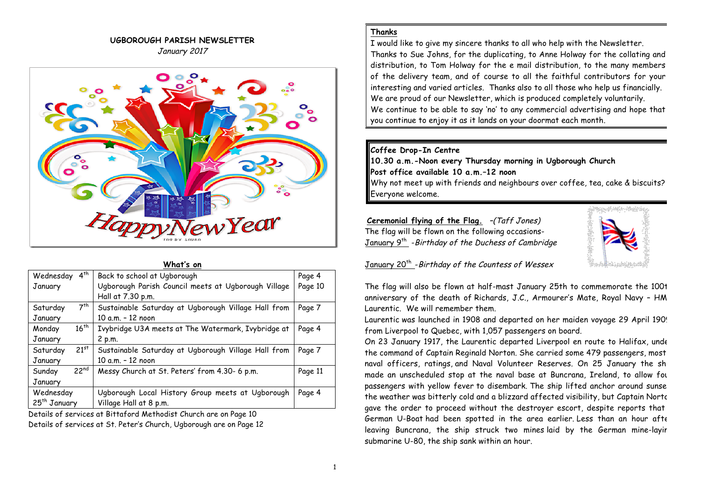### **UGBOROUGH PARISH NEWSLETTER** January 2017



| What's on                   |                                                     |         |
|-----------------------------|-----------------------------------------------------|---------|
| $4^{th}$<br>Wednesday       | Back to school at Ugborough                         | Page 4  |
| January                     | Ugborough Parish Council meets at Ugborough Village | Page 10 |
|                             | Hall at 7.30 p.m.                                   |         |
| 7 <sup>th</sup><br>Saturday | Sustainable Saturday at Ugborough Village Hall from | Page 7  |
| January                     | 10 a.m. - 12 noon                                   |         |
| $16^{th}$<br>Monday         | Ivybridge U3A meets at The Watermark, Ivybridge at  | Page 4  |
| January                     | 2 p.m.                                              |         |
| $21^{st}$<br>Saturday       | Sustainable Saturday at Ugborough Village Hall from | Page 7  |
| January                     | 10 a.m. - 12 noon                                   |         |
| 22 <sup>nd</sup><br>Sunday  | Messy Church at St. Peters' from 4.30- 6 p.m.       | Page 11 |
| January                     |                                                     |         |
| Wednesday                   | Ugborough Local History Group meets at Ugborough    | Page 4  |
| 25 <sup>th</sup> January    | Village Hall at 8 p.m.                              |         |

Details of services at Bittaford Methodist Church are on Page 10 Details of services at St. Peter's Church, Ugborough are on Page 12

### **Thanks**

I would like to give my sincere thanks to all who help with the Newsletter. Thanks to Sue Johns, for the duplicating, to Anne Holway for the collating and distribution, to Tom Holway for the e mail distribution, to the many members of the delivery team, and of course to all the faithful contributors for your interesting and varied articles. Thanks also to all those who help us financially. We are proud of our Newsletter, which is produced completely voluntarily. We continue to be able to say 'no' to any commercial advertising and hope that you continue to enjoy it as it lands on your doormat each month.

### **Coffee Drop-In Centre**

**10.30 a.m.-Noon every Thursday morning in Ugborough Church Post office available 10 a.m.–12 noon** Why not meet up with friends and neighbours over coffee, tea, cake & biscuits?

Everyone welcome.

**Ceremonial flying of the Flag.** –(Taff Jones) The flag will be flown on the following occasions-January 9<sup>th</sup> -Birthday of the Duchess of Cambridge



# January 20<sup>th</sup> - Birthday of the Countess of Wessex

The flag will also be flown at half-mast January 25th to commemorate the 100t anniversary of the death of Richards, J.C., Armourer's Mate, Royal Navy - HM Laurentic. We will remember them.

Laurentic was launched in 1908 and departed on her maiden voyage 29 April 1909, from Liverpool to Quebec, with 1,057 passengers on board.

On 23 January 1917, the Laurentic departed Liverpool en route to Halifax, under the command of Captain Reginald Norton. She carried some 479 passengers, most naval officers, ratings, and Naval Volunteer Reserves. On 25 January the ship made an unscheduled stop at the naval base at Buncrana, Ireland, to allow for passengers with yellow fever to disembark. The ship lifted anchor around sunse the weather was bitterly cold and a blizzard affected visibility, but Captain Norton gave the order to proceed without the destroyer escort, despite reports that German U-Boat had been spotted in the area earlier. Less than an hour afte leaving Buncrana, the ship struck two mines laid by the German mine-layir submarine U-80, the ship sank within an hour.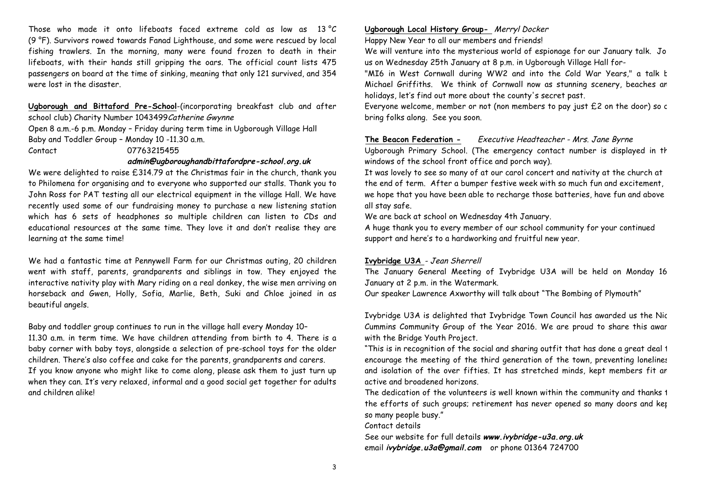Those who made it onto lifeboats faced extreme cold as low as  $13^{\circ}C$ (9 °F). Survivors rowed towards Fanad Lighthouse, and some were rescued by local fishing trawlers. In the morning, many were found frozen to death in their lifeboats, with their hands still gripping the oars. The official count lists 475 passengers on board at the time of sinking, meaning that only 121 survived, and 354 were lost in the disaster.

### **Ugborough and Bittaford Pre-School**-(incorporating breakfast club and after school club) Charity Number 1043499 Catherine Gwynne

Open 8 a.m.-6 p.m. Monday – Friday during term time in Ugborough Village Hall Baby and Toddler Group – Monday 10 -11.30 a.m. Contact 07763215455

### **admin@ugboroughandbittafordpre-school.org.uk**

We were delighted to raise £314.79 at the Christmas fair in the church, thank you to Philomena for organising and to everyone who supported our stalls. Thank you to John Ross for PAT testing all our electrical equipment in the village Hall. We have recently used some of our fundraising money to purchase a new listening station which has 6 sets of headphones so multiple children can listen to CDs and educational resources at the same time. They love it and don't realise they are learning at the same time!

We had a fantastic time at Pennywell Farm for our Christmas outing, 20 children went with staff, parents, grandparents and siblings in tow. They enjoyed the interactive nativity play with Mary riding on a real donkey, the wise men arriving on horseback and Gwen, Holly, Sofia, Marlie, Beth, Suki and Chloe joined in as beautiful angels.

Baby and toddler group continues to run in the village hall every Monday 10– 11.30 a.m. in term time. We have children attending from birth to 4. There is a baby corner with baby toys, alongside a selection of pre-school toys for the older children. There's also coffee and cake for the parents, grandparents and carers. If you know anyone who might like to come along, please ask them to just turn up when they can. It's very relaxed, informal and a good social get together for adults and children alike!

### **Ugborough Local History Group-** Merryl Docker

Happy New Year to all our members and friends!

We will venture into the mysterious world of espionage for our January talk. Jo us on Wednesday 25th January at 8 p.m. in Ugborough Village Hall for-

"MI6 in West Cornwall during WW2 and into the Cold War Years," a talk t Michael Griffiths. We think of Cornwall now as stunning scenery, beaches an holidays, let's find out more about the county's secret past.

Everyone welcome, member or not (non members to pay just  $£2$  on the door) so c bring folks along. See you soon.

### **The Beacon Federation -** Executive Headteacher - Mrs. Jane Byrne

Ugborough Primary School. (The emergency contact number is displayed in th windows of the school front office and porch way).

It was lovely to see so many of at our carol concert and nativity at the church at the end of term. After a bumper festive week with so much fun and excitement, we hope that you have been able to recharge those batteries, have fun and above all stay safe.

We are back at school on Wednesday 4th January.

A huge thank you to every member of our school community for your continued support and here's to a hardworking and fruitful new year.

### **Ivybridge U3A** - Jean Sherrell

The January General Meeting of Ivybridge U3A will be held on Monday 16 January at 2 p.m. in the Watermark.

Our speaker Lawrence Axworthy will talk about "The Bombing of Plymouth"

Ivybridge U3A is delighted that Ivybridge Town Council has awarded us the Nick Cummins Community Group of the Year 2016. We are proud to share this awar with the Bridge Youth Project.

"This is in recognition of the social and sharing outfit that has done a great deal 1 encourage the meeting of the third generation of the town, preventing lonelines and isolation of the over fifties. It has stretched minds, kept members fit an active and broadened horizons.

The dedication of the volunteers is well known within the community and thanks  $1$ the efforts of such groups; retirement has never opened so many doors and ket so many people busy."

Contact details

See our website for full details **www.ivybridge-u3a.org.uk** email **ivybridge.u3a@gmail.com** or phone 01364 724700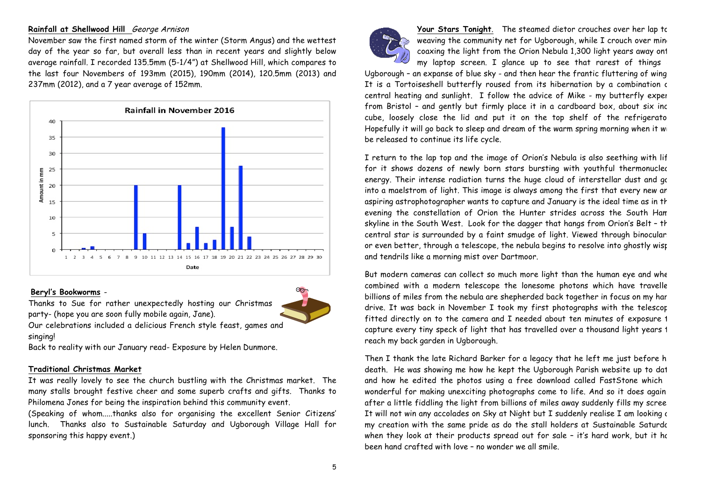### **Rainfall at Shellwood Hill** George Arnison

November saw the first named storm of the winter (Storm Angus) and the wettest day of the year so far, but overall less than in recent years and slightly below average rainfall. I recorded 135.5mm (5-1/4") at Shellwood Hill, which compares to the last four Novembers of 193mm (2015), 190mm (2014), 120.5mm (2013) and 237mm (2012), and a 7 year average of 152mm.



### **Beryl's Bookworms** -

Thanks to Sue for rather unexpectedly hosting our Christmas party- (hope you are soon fully mobile again, Jane).

Our celebrations included a delicious French style feast, games and singing!

Back to reality with our January read- Exposure by Helen Dunmore.

### **Traditional Christmas Market**

It was really lovely to see the church bustling with the Christmas market. The many stalls brought festive cheer and some superb crafts and gifts. Thanks to Philomena Jones for being the inspiration behind this community event.

(Speaking of whom.....thanks also for organising the excellent Senior Citizens' lunch. Thanks also to Sustainable Saturday and Ugborough Village Hall for sponsoring this happy event.)



**Your Stars Tonight**. The steamed dietor crouches over her lap top weaving the community net for Ugborough, while I crouch over min coaxing the light from the Orion Nebula 1,300 light years away ont my laptop screen. I glance up to see that rarest of things

Ugborough - an expanse of blue sky - and then hear the frantic fluttering of wing It is a Tortoiseshell butterfly roused from its hibernation by a combination c central heating and sunlight. I follow the advice of Mike - my butterfly exper from Bristol - and gently but firmly place it in a cardboard box, about six inc cube, loosely close the lid and put it on the top shelf of the refrigerato Hopefully it will go back to sleep and dream of the warm spring morning when it will be released to continue its life cycle.

I return to the lap top and the image of Orion's Nebula is also seething with lif for it shows dozens of newly born stars bursting with youthful thermonuclec energy. Their intense radiation turns the huge cloud of interstellar dust and gc into a maelstrom of light. This image is always among the first that every new an aspiring astrophotographer wants to capture and January is the ideal time as in th evening the constellation of Orion the Hunter strides across the South Han skyline in the South West. Look for the dagger that hangs from Orion's Belt - th central star is surrounded by a faint smudge of light. Viewed through binocular, or even better, through a telescope, the nebula begins to resolve into ghostly wist and tendrils like a morning mist over Dartmoor.

But modern cameras can collect so much more light than the human eye and whe combined with a modern telescope the lonesome photons which have travelle billions of miles from the nebula are shepherded back together in focus on my har drive. It was back in November I took my first photographs with the telescop fitted directly on to the camera and I needed about ten minutes of exposure 1 capture every tiny speck of light that has travelled over a thousand light years 1 reach my back garden in Ugborough.

Then I thank the late Richard Barker for a legacy that he left me just before h death. He was showing me how he kept the Ugborough Parish website up to dat and how he edited the photos using a free download called FastStone which wonderful for making unexciting photographs come to life. And so it does again – after a little fiddling the light from billions of miles away suddenly fills my scree It will not win any accolades on Sky at Night but I suddenly realise I am looking a my creation with the same pride as do the stall holders at Sustainable Saturdc when they look at their products spread out for sale  $-$  it's hard work, but it ho been hand crafted with love – no wonder we all smile.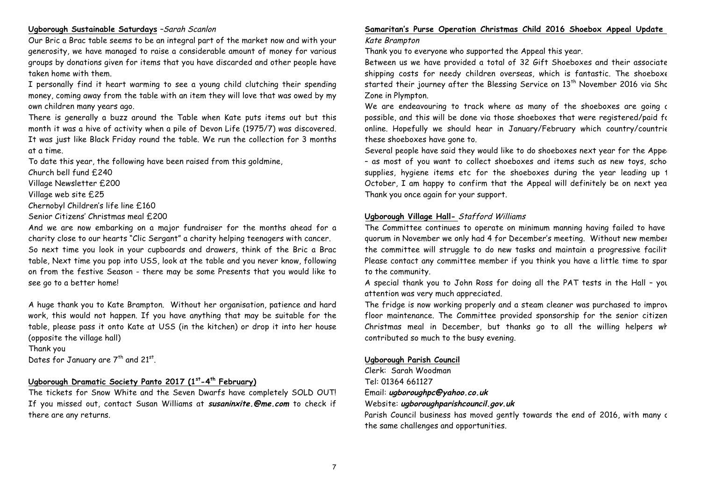### **Ugborough Sustainable Saturdays** –Sarah Scanlon

Our Bric a Brac table seems to be an integral part of the market now and with your generosity, we have managed to raise a considerable amount of money for various groups by donations given for items that you have discarded and other people have taken home with them.

I personally find it heart warming to see a young child clutching their spending money, coming away from the table with an item they will love that was owed by my own children many years ago.

There is generally a buzz around the Table when Kate puts items out but this month it was a hive of activity when a pile of Devon Life (1975/7) was discovered. It was just like Black Friday round the table. We run the collection for 3 months at a time.

To date this year, the following have been raised from this goldmine,

Church bell fund £240

Village Newsletter £200

Village web site £25

Chernobyl Children's life line £160

Senior Citizens' Christmas meal £200

And we are now embarking on a major fundraiser for the months ahead for a charity close to our hearts "Clic Sergant" a charity helping teenagers with cancer. So next time you look in your cupboards and drawers, think of the Bric a Brac table, Next time you pop into USS, look at the table and you never know, following on from the festive Season - there may be some Presents that you would like to see go to a better home!

A huge thank you to Kate Brampton. Without her organisation, patience and hard work, this would not happen. If you have anything that may be suitable for the table, please pass it onto Kate at USS (in the kitchen) or drop it into her house (opposite the village hall)

Thank you Dates for January are 7<sup>th</sup> and 21<sup>st</sup>.

# **Ugborough Dramatic Society Panto 2017 (1st-4th February)**

The tickets for Snow White and the Seven Dwarfs have completely SOLD OUT! If you missed out, contact Susan Williams at **susaninxite.@me.com** to check if there are any returns.

### **Samaritan's Purse Operation Christmas Child 2016 Shoebox Appeal Update -** Kate Brampton

Thank you to everyone who supported the Appeal this year.

Between us we have provided a total of 32 Gift Shoeboxes and their associate shipping costs for needy children overseas, which is fantastic. The shoeboxe started their journey after the Blessing Service on  $13<sup>th</sup>$  November 2016 via Shc Zone in Plympton.

We are endeavouring to track where as many of the shoeboxes are going as possible, and this will be done via those shoeboxes that were registered/paid for online. Hopefully we should hear in January/February which country/countrie these shoeboxes have gone to.

Several people have said they would like to do shoeboxes next year for the Apper - as most of you want to collect shoeboxes and items such as new toys, scho supplies, hygiene items etc for the shoeboxes during the year leading up 1 October, I am happy to confirm that the Appeal will definitely be on next yea Thank you once again for your support.

### **Ugborough Village Hall-** Stafford Williams

The Committee continues to operate on minimum manning having failed to have quorum in November we only had 4 for December's meeting. Without new member the committee will struggle to do new tasks and maintain a progressive facilit Please contact any committee member if you think you have a little time to spar to the community.

A special thank you to John Ross for doing all the PAT tests in the Hall – your attention was very much appreciated.

The fridge is now working properly and a steam cleaner was purchased to improve floor maintenance. The Committee provided sponsorship for the senior citizen Christmas meal in December, but thanks go to all the willing helpers wh contributed so much to the busy evening.

### **Ugborough Parish Council**

Clerk: Sarah Woodman Tel: 01364 661127 Email: **ugboroughpc@yahoo.co.uk** Website: **ugboroughparishcouncil.gov.uk**

Parish Council business has moved gently towards the end of 2016, with many c the same challenges and opportunities.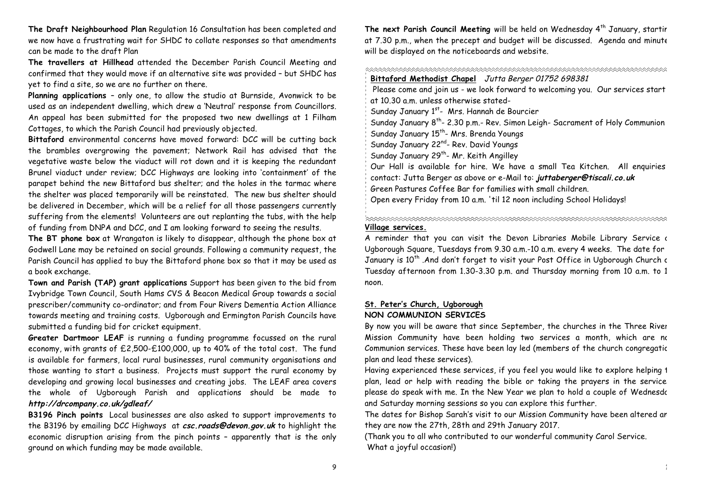**The Draft Neighbourhood Plan** Regulation 16 Consultation has been completed and we now have a frustrating wait for SHDC to collate responses so that amendments can be made to the draft Plan

**The travellers at Hillhead** attended the December Parish Council Meeting and confirmed that they would move if an alternative site was provided – but SHDC has yet to find a site, so we are no further on there.

**Planning applications** – only one, to allow the studio at Burnside, Avonwick to be used as an independent dwelling, which drew a 'Neutral' response from Councillors. An appeal has been submitted for the proposed two new dwellings at 1 Filham Cottages, to which the Parish Council had previously objected.

**Bittaford** environmental concerns have moved forward: DCC will be cutting back the brambles overgrowing the pavement; Network Rail has advised that the vegetative waste below the viaduct will rot down and it is keeping the redundant Brunel viaduct under review; DCC Highways are looking into 'containment' of the parapet behind the new Bittaford bus shelter; and the holes in the tarmac where the shelter was placed temporarily will be reinstated. The new bus shelter should be delivered in December, which will be a relief for all those passengers currently suffering from the elements! Volunteers are out replanting the tubs, with the help of funding from DNPA and DCC, and I am looking forward to seeing the results.

**The BT phone box** at Wrangaton is likely to disappear, although the phone box at Godwell Lane may be retained on social grounds. Following a community request, the Parish Council has applied to buy the Bittaford phone box so that it may be used as a book exchange.

**Town and Parish (TAP) grant applications** Support has been given to the bid from Ivybridge Town Council, South Hams CVS & Beacon Medical Group towards a social prescriber/community co-ordinator; and from Four Rivers Dementia Action Alliance towards meeting and training costs. Ugborough and Ermington Parish Councils have submitted a funding bid for cricket equipment.

**Greater Dartmoor LEAF** is running a funding programme focussed on the rural economy, with grants of £2,500-£100,000, up to 40% of the total cost. The fund is available for farmers, local rural businesses, rural community organisations and those wanting to start a business. Projects must support the rural economy by developing and growing local businesses and creating jobs. The LEAF area covers the whole of Ugborough Parish and applications should be made to **http://drcompany.co.uk/gdleaf/**

**B3196 Pinch points** Local businesses are also asked to support improvements to the B3196 by emailing DCC Highways at **csc.roads@devon.gov.uk** to highlight the economic disruption arising from the pinch points – apparently that is the only ground on which funding may be made available.

The next Parish Council Meeting will be held on Wednesday 4<sup>th</sup> January, startir at 7.30 p.m., when the precept and budget will be discussed. Agenda and minute will be displayed on the noticeboards and website.

| Bittaford Methodist Chapel Jutta Berger 01752 698381                                      |  |  |
|-------------------------------------------------------------------------------------------|--|--|
| Please come and join us - we look forward to welcoming you. Our services start            |  |  |
| at 10.30 a.m. unless otherwise stated-                                                    |  |  |
| Sunday January 1 <sup>st</sup> - Mrs. Hannah de Bourcier                                  |  |  |
| Sunday January 8 <sup>th</sup> - 2.30 p.m.- Rev. Simon Leigh- Sacrament of Holy Communion |  |  |
| ' Sunday January 15 <sup>th</sup> - Mrs. Brenda Youngs                                    |  |  |
| Sunday January 22 <sup>nd</sup> - Rev. David Youngs                                       |  |  |
| Sunday January 29 <sup>th</sup> - Mr. Keith Angilley                                      |  |  |
| Our Hall is available for hire. We have a small Tea Kitchen. All enquiries                |  |  |
| contact: Jutta Berger as above or e-Mail to: juttaberger@tiscali.co.uk                    |  |  |
| $\%$ Green Pastures Coffee Bar for families with small children.                          |  |  |
| Open every Friday from 10 a.m. 'til 12 noon including School Holidays!                    |  |  |

### **Village services.**

A reminder that you can visit the Devon Libraries Mobile Library Service at Ugborough Square, Tuesdays from 9.30 a.m.-10 a.m. every 4 weeks. The date for January is 10<sup>th</sup> .And don't forget to visit your Post Office in Ugborough Church c Tuesday afternoon from 1.30-3.30 p.m. and Thursday morning from 10 a.m. to 12 noon.

### **St. Peter's Church, Ugborough NON COMMUNION SERVICES**

By now you will be aware that since September, the churches in the Three River Mission Community have been holding two services a month, which are not Communion services. These have been lay led (members of the church congregatic plan and lead these services).

Having experienced these services, if you feel you would like to explore helping 1 plan, lead or help with reading the bible or taking the prayers in the service. please do speak with me. In the New Year we plan to hold a couple of Wednesdc and Saturday morning sessions so you can explore this further.

The dates for Bishop Sarah's visit to our Mission Community have been altered and they are now the 27th, 28th and 29th January 2017.

(Thank you to all who contributed to our wonderful community Carol Service. What a joyful occasion!)